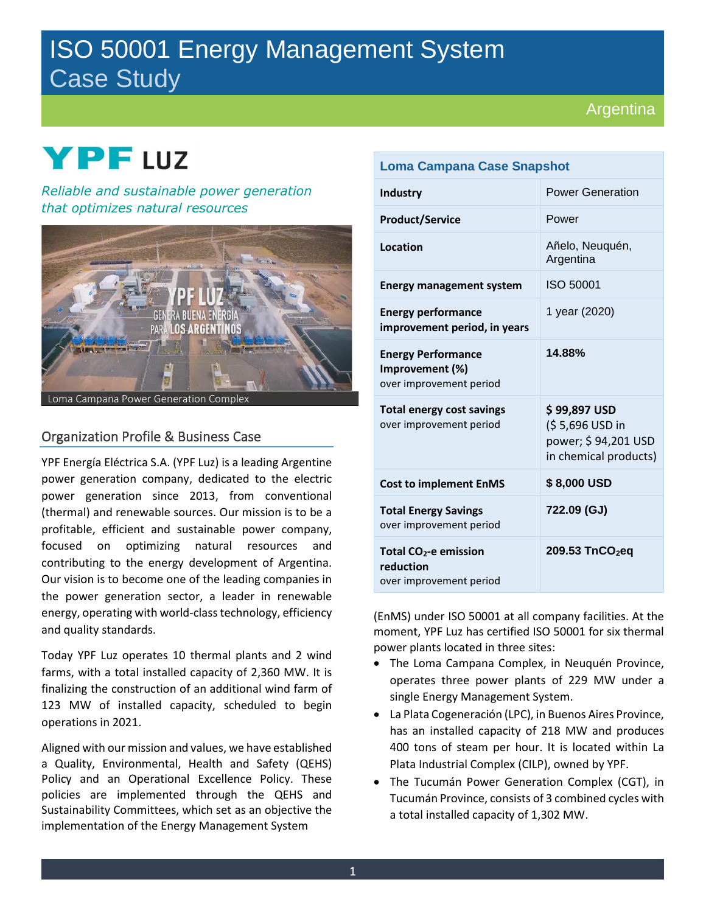# ISO 50001 Energy Management System Case Study

## Argentina

# **2021 YPF** LUZ

*Reliable and sustainable power generation that optimizes natural resources*



## Organization Profile & Business Case

YPF Energía Eléctrica S.A. (YPF Luz) is a leading Argentine power generation company, dedicated to the electric power generation since 2013, from conventional (thermal) and renewable sources. Our mission is to be a profitable, efficient and sustainable power company, focused on optimizing natural resources and contributing to the energy development of Argentina. Our vision is to become one of the leading companies in the power generation sector, a leader in renewable energy, operating with world-class technology, efficiency and quality standards.

Today YPF Luz operates 10 thermal plants and 2 wind farms, with a total installed capacity of 2,360 MW. It is finalizing the construction of an additional wind farm of 123 MW of installed capacity, scheduled to begin operations in 2021.

Aligned with our mission and values, we have established a Quality, Environmental, Health and Safety (QEHS) Policy and an Operational Excellence Policy. These policies are implemented through the QEHS and Sustainability Committees, which set as an objective the implementation of the Energy Management System

| <b>Loma Campana Case Snapshot</b>                                         |                                                                                 |
|---------------------------------------------------------------------------|---------------------------------------------------------------------------------|
| <b>Industry</b>                                                           | <b>Power Generation</b>                                                         |
| <b>Product/Service</b>                                                    | Power                                                                           |
| <b>Location</b>                                                           | Añelo, Neuquén,<br>Argentina                                                    |
| <b>Energy management system</b>                                           | ISO 50001                                                                       |
| <b>Energy performance</b><br>improvement period, in years                 | 1 year (2020)                                                                   |
| <b>Energy Performance</b><br>Improvement (%)<br>over improvement period   | 14.88%                                                                          |
| <b>Total energy cost savings</b><br>over improvement period               | \$99,897 USD<br>(\$5,696 USD in<br>power; \$94,201 USD<br>in chemical products) |
| <b>Cost to implement EnMS</b>                                             | \$8,000 USD                                                                     |
| <b>Total Energy Savings</b><br>over improvement period                    | 722.09 (GJ)                                                                     |
| Total CO <sub>2</sub> -e emission<br>reduction<br>over improvement period | 209.53 TnCO <sub>2</sub> eq                                                     |

(EnMS) under ISO 50001 at all company facilities. At the moment, YPF Luz has certified ISO 50001 for six thermal power plants located in three sites:

- The Loma Campana Complex, in Neuquén Province, operates three power plants of 229 MW under a single Energy Management System.
- La Plata Cogeneración (LPC), in Buenos Aires Province, has an installed capacity of 218 MW and produces 400 tons of steam per hour. It is located within La Plata Industrial Complex (CILP), owned by YPF.
- The Tucumán Power Generation Complex (CGT), in Tucumán Province, consists of 3 combined cycles with a total installed capacity of 1,302 MW.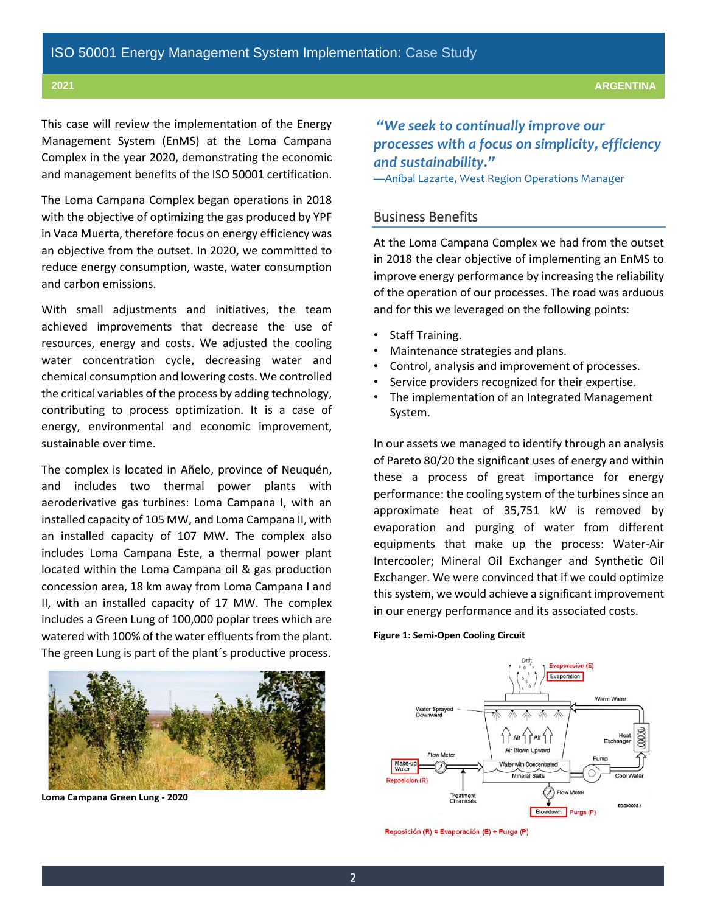This case will review the implementation of the Energy Management System (EnMS) at the Loma Campana Complex in the year 2020, demonstrating the economic and management benefits of the ISO 50001 certification.

The Loma Campana Complex began operations in 2018 with the objective of optimizing the gas produced by YPF in Vaca Muerta, therefore focus on energy efficiency was an objective from the outset. In 2020, we committed to reduce energy consumption, waste, water consumption and carbon emissions.

With small adjustments and initiatives, the team achieved improvements that decrease the use of resources, energy and costs. We adjusted the cooling water concentration cycle, decreasing water and chemical consumption and lowering costs. We controlled the critical variables of the process by adding technology, contributing to process optimization. It is a case of energy, environmental and economic improvement, sustainable over time.

The complex is located in Añelo, province of Neuquén, and includes two thermal power plants with aeroderivative gas turbines: Loma Campana I, with an installed capacity of 105 MW, and Loma Campana II, with an installed capacity of 107 MW. The complex also includes Loma Campana Este, a thermal power plant located within the Loma Campana oil & gas production concession area, 18 km away from Loma Campana I and II, with an installed capacity of 17 MW. The complex includes a Green Lung of 100,000 poplar trees which are watered with 100% of the water effluents from the plant. The green Lung is part of the plant´s productive process.



**Loma Campana Green Lung - 2020**

*"We seek to continually improve our processes with a focus on simplicity, efficiency and sustainability."*

—Aníbal Lazarte, West Region Operations Manager

## Business Benefits

At the Loma Campana Complex we had from the outset in 2018 the clear objective of implementing an EnMS to improve energy performance by increasing the reliability of the operation of our processes. The road was arduous and for this we leveraged on the following points:

- Staff Training.
- Maintenance strategies and plans.
- Control, analysis and improvement of processes.
- Service providers recognized for their expertise.
- The implementation of an Integrated Management System.

In our assets we managed to identify through an analysis of Pareto 80/20 the significant uses of energy and within these a process of great importance for energy performance: the cooling system of the turbines since an approximate heat of 35,751 kW is removed by evaporation and purging of water from different equipments that make up the process: Water-Air Intercooler; Mineral Oil Exchanger and Synthetic Oil Exchanger. We were convinced that if we could optimize this system, we would achieve a significant improvement in our energy performance and its associated costs.

### **Figure 1: Semi-Open Cooling Circuit**



Reposición (R) ≈ Evaporación (E) + Purga (P)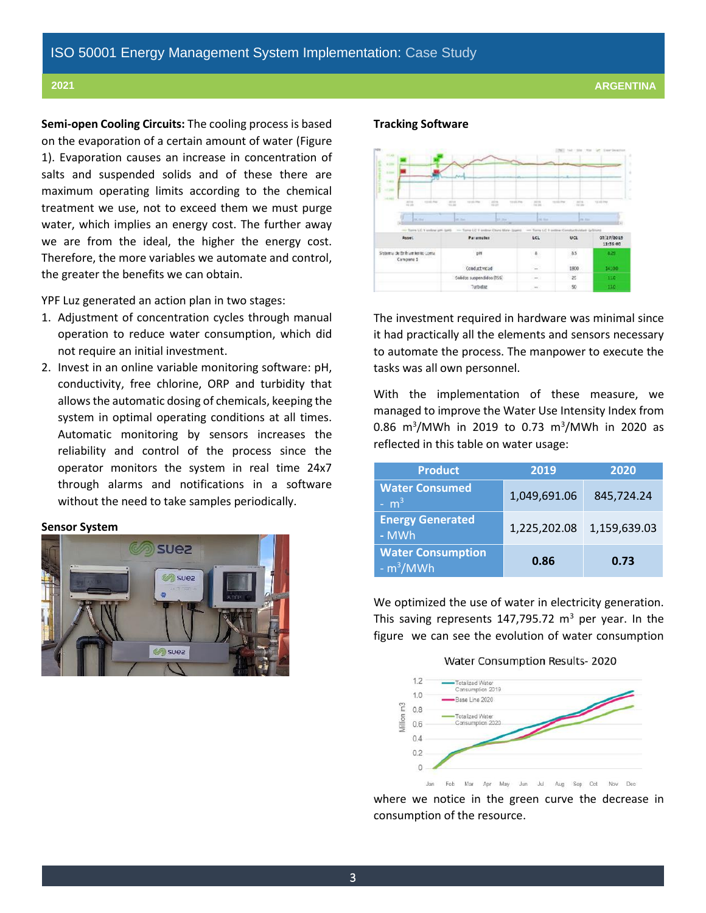**Semi-open Cooling Circuits:** The cooling process is based on the evaporation of a certain amount of water (Figure 1). Evaporation causes an increase in concentration of salts and suspended solids and of these there are maximum operating limits according to the chemical treatment we use, not to exceed them we must purge water, which implies an energy cost. The further away we are from the ideal, the higher the energy cost. Therefore, the more variables we automate and control, the greater the benefits we can obtain.

YPF Luz generated an action plan in two stages:

- 1. Adjustment of concentration cycles through manual operation to reduce water consumption, which did not require an initial investment.
- 2. Invest in an online variable monitoring software: pH, conductivity, free chlorine, ORP and turbidity that allows the automatic dosing of chemicals, keeping the system in optimal operating conditions at all times. Automatic monitoring by sensors increases the reliability and control of the process since the operator monitors the system in real time 24x7 through alarms and notifications in a software without the need to take samples periodically.

## **Sensor System**



### **Tracking Software**



The investment required in hardware was minimal since it had practically all the elements and sensors necessary to automate the process. The manpower to execute the tasks was all own personnel.

With the implementation of these measure, we managed to improve the Water Use Intensity Index from 0.86 m<sup>3</sup>/MWh in 2019 to 0.73 m<sup>3</sup>/MWh in 2020 as reflected in this table on water usage:

| <b>Product</b>                         | 2019         | 2020         |
|----------------------------------------|--------------|--------------|
| <b>Water Consumed</b><br>$- m3$        | 1,049,691.06 | 845,724.24   |
| <b>Energy Generated</b><br>- MWh       | 1,225,202.08 | 1,159,639.03 |
| <b>Water Consumption</b><br>$-m^3/MWh$ | 0.86         | 0.73         |

We optimized the use of water in electricity generation. This saving represents 147,795.72  $m^3$  per year. In the figure we can see the evolution of water consumption





where we notice in the green curve the decrease in consumption of the resource.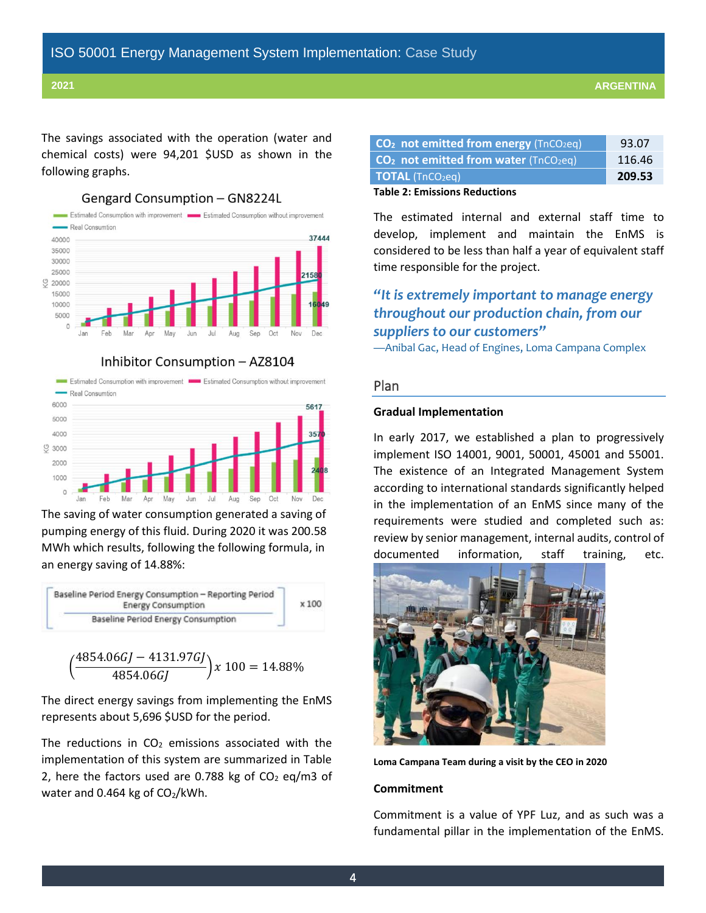The savings associated with the operation (water and chemical costs) were 94,201 \$USD as shown in the following graphs.



Gengard Consumption - GN8224L

Inhibitor Consumption - AZ8104





The saving of water consumption generated a saving of pumping energy of this fluid. During 2020 it was 200.58 MWh which results, following the following formula, in an energy saving of 14.88%:



$$
\left(\frac{4854.06GJ - 4131.97GJ}{4854.06GJ}\right)x\,100 = 14.88\%
$$

The direct energy savings from implementing the EnMS represents about 5,696 \$USD for the period.

The reductions in  $CO<sub>2</sub>$  emissions associated with the implementation of this system are summarized in Table 2, here the factors used are 0.788 kg of  $CO<sub>2</sub>$  eq/m3 of water and 0.464 kg of  $CO<sub>2</sub>/kWh$ .

| $CO2$ not emitted from energy (TnCO <sub>2</sub> eq) | 93.07  |
|------------------------------------------------------|--------|
| $CO2$ not emitted from water (TnCO <sub>2</sub> eq)  | 116.46 |
| <b>TOTAL</b> (TnCO <sub>2</sub> eg)                  | 209.53 |

## **Table 2: Emissions Reductions**

The estimated internal and external staff time to develop, implement and maintain the EnMS is considered to be less than half a year of equivalent staff time responsible for the project.

## *"It is extremely important to manage energy throughout our production chain, from our suppliers to our customers"*

—Anibal Gac, Head of Engines, Loma Campana Complex

## Plan

## **Gradual Implementation**

In early 2017, we established a plan to progressively implement ISO 14001, 9001, 50001, 45001 and 55001. The existence of an Integrated Management System according to international standards significantly helped in the implementation of an EnMS since many of the requirements were studied and completed such as: review by senior management, internal audits, control of documented information, staff training, etc.



**Loma Campana Team during a visit by the CEO in 2020**

### **Commitment**

Commitment is a value of YPF Luz, and as such was a fundamental pillar in the implementation of the EnMS.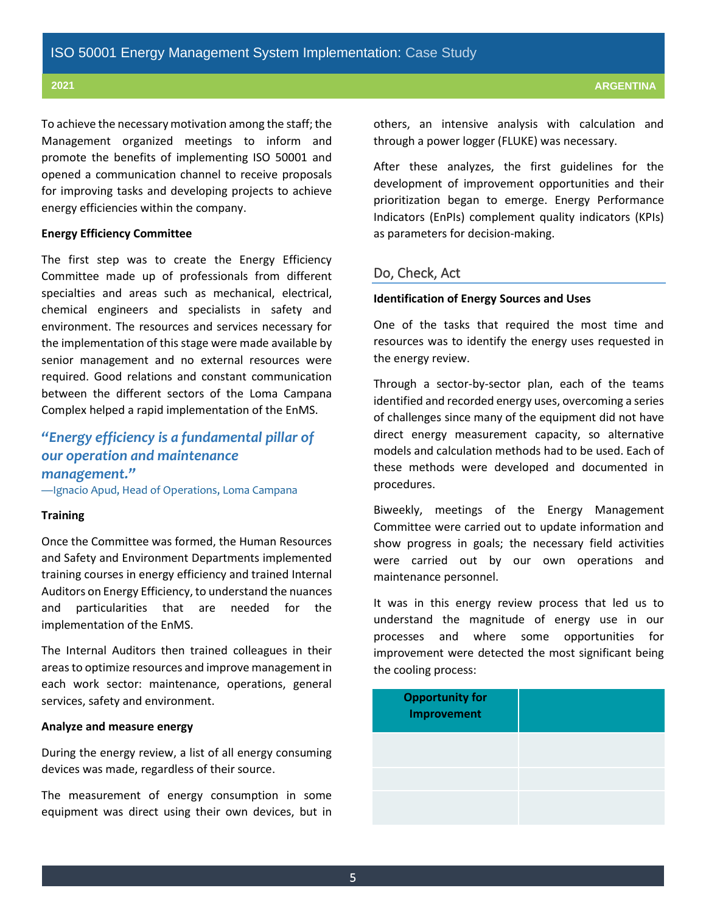To achieve the necessary motivation among the staff; the Management organized meetings to inform and promote the benefits of implementing ISO 50001 and opened a communication channel to receive proposals for improving tasks and developing projects to achieve energy efficiencies within the company.

## **Energy Efficiency Committee**

The first step was to create the Energy Efficiency Committee made up of professionals from different specialties and areas such as mechanical, electrical, chemical engineers and specialists in safety and environment. The resources and services necessary for the implementation of this stage were made available by senior management and no external resources were required. Good relations and constant communication between the different sectors of the Loma Campana Complex helped a rapid implementation of the EnMS.

## *"Energy efficiency is a fundamental pillar of our operation and maintenance management."*

—Ignacio Apud, Head of Operations, Loma Campana

## **Training**

Once the Committee was formed, the Human Resources and Safety and Environment Departments implemented training courses in energy efficiency and trained Internal Auditors on Energy Efficiency, to understand the nuances and particularities that are needed for the implementation of the EnMS.

The Internal Auditors then trained colleagues in their areasto optimize resources and improve management in each work sector: maintenance, operations, general services, safety and environment.

### **Analyze and measure energy**

During the energy review, a list of all energy consuming devices was made, regardless of their source.

The measurement of energy consumption in some equipment was direct using their own devices, but in others, an intensive analysis with calculation and through a power logger (FLUKE) was necessary.

After these analyzes, the first guidelines for the development of improvement opportunities and their prioritization began to emerge. Energy Performance Indicators (EnPIs) complement quality indicators (KPIs) as parameters for decision-making.

## Do, Check, Act

## **Identification of Energy Sources and Uses**

One of the tasks that required the most time and resources was to identify the energy uses requested in the energy review.

Through a sector-by-sector plan, each of the teams identified and recorded energy uses, overcoming a series of challenges since many of the equipment did not have direct energy measurement capacity, so alternative models and calculation methods had to be used. Each of these methods were developed and documented in procedures.

Biweekly, meetings of the Energy Management Committee were carried out to update information and show progress in goals; the necessary field activities were carried out by our own operations and maintenance personnel.

It was in this energy review process that led us to understand the magnitude of energy use in our processes and where some opportunities for improvement were detected the most significant being the cooling process:

| <b>Opportunity for<br/>Improvement</b> |  |
|----------------------------------------|--|
|                                        |  |
|                                        |  |
|                                        |  |